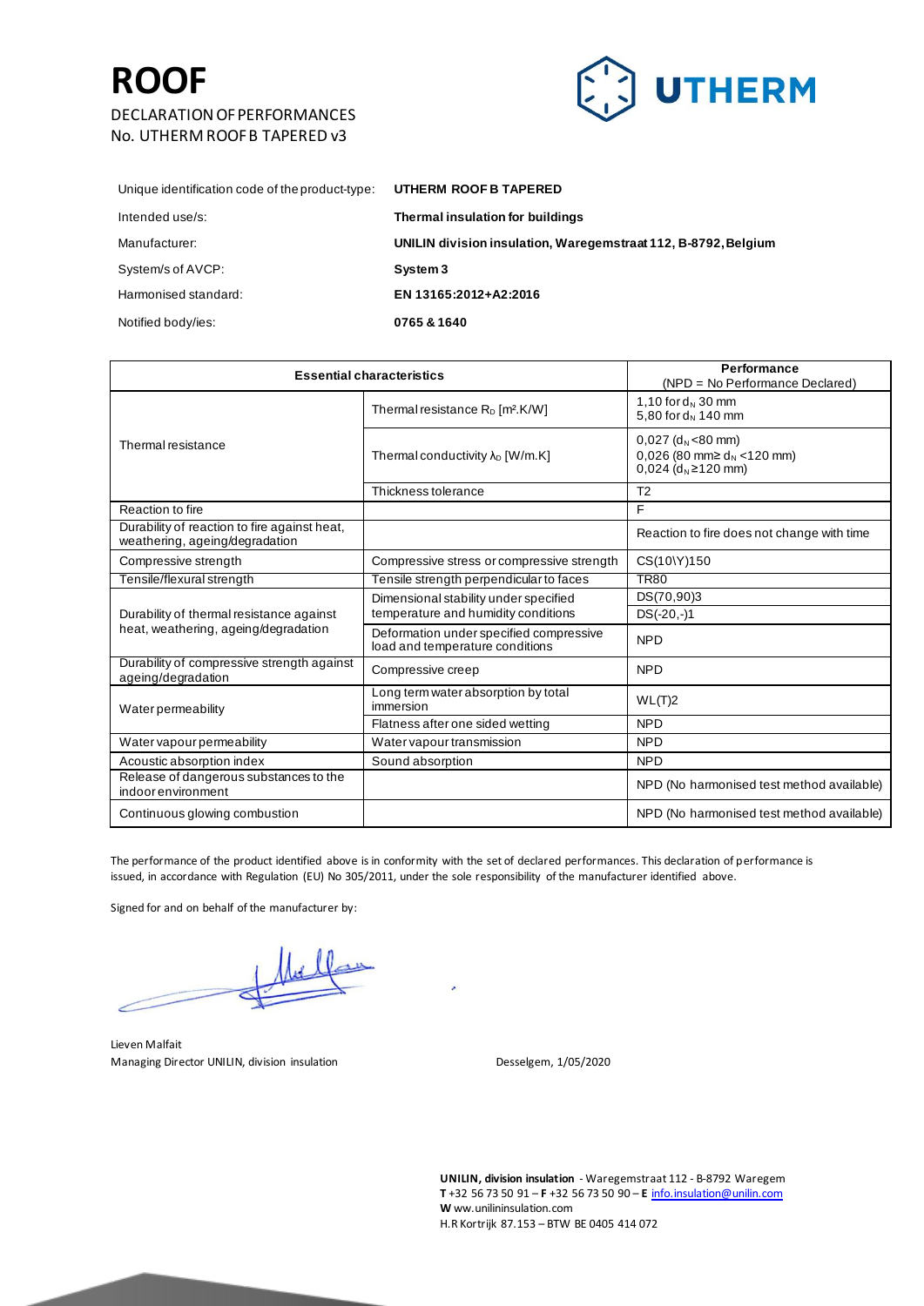#### DECLARATION OF PERFORMANCES No. UTHERM ROOF B TAPERED v3



| UTHERM ROOF B TAPERED                                          |
|----------------------------------------------------------------|
| Thermal insulation for buildings                               |
| UNILIN division insulation, Waregemstraat 112, B-8792, Belgium |
| System 3                                                       |
| EN 13165:2012+A2:2016                                          |
| 0765 & 1640                                                    |
|                                                                |

| <b>Essential characteristics</b>                                               |                                                                            | Performance<br>(NPD = No Performance Declared)                                                                           |
|--------------------------------------------------------------------------------|----------------------------------------------------------------------------|--------------------------------------------------------------------------------------------------------------------------|
| Thermal resistance                                                             | Thermal resistance $R_D$ [m <sup>2</sup> .K/W]                             | 1,10 for $d_N$ 30 mm<br>5,80 for $d_N$ 140 mm                                                                            |
|                                                                                | Thermal conductivity $\lambda_D$ [W/m.K]                                   | $0,027$ (d <sub>N</sub> <80 mm)<br>0,026 (80 mm $\geq$ d <sub>N</sub> <120 mm)<br>$0,024$ (d <sub>N</sub> $\geq$ 120 mm) |
|                                                                                | Thickness tolerance                                                        | T <sub>2</sub>                                                                                                           |
| Reaction to fire                                                               |                                                                            | F                                                                                                                        |
| Durability of reaction to fire against heat,<br>weathering, ageing/degradation |                                                                            | Reaction to fire does not change with time                                                                               |
| Compressive strength                                                           | Compressive stress or compressive strength                                 | CS(10\Y)150                                                                                                              |
| Tensile/flexural strength                                                      | Tensile strength perpendicular to faces                                    | <b>TR80</b>                                                                                                              |
|                                                                                | Dimensional stability under specified                                      | DS(70,90)3                                                                                                               |
| Durability of thermal resistance against                                       | temperature and humidity conditions                                        | $DS(-20,-)1$                                                                                                             |
| heat, weathering, ageing/degradation                                           | Deformation under specified compressive<br>load and temperature conditions | <b>NPD</b>                                                                                                               |
| Durability of compressive strength against<br>ageing/degradation               | Compressive creep                                                          | <b>NPD</b>                                                                                                               |
| Waterpermeability                                                              | Long term water absorption by total<br>immersion                           | WL(T)2                                                                                                                   |
|                                                                                | Flatness after one sided wetting                                           | <b>NPD</b>                                                                                                               |
| Water vapour permeability                                                      | Water vapour transmission                                                  | <b>NPD</b>                                                                                                               |
| Acoustic absorption index                                                      | Sound absorption                                                           | <b>NPD</b>                                                                                                               |
| Release of dangerous substances to the<br>indoor environment                   |                                                                            | NPD (No harmonised test method available)                                                                                |
| Continuous glowing combustion                                                  |                                                                            | NPD (No harmonised test method available)                                                                                |

The performance of the product identified above is in conformity with the set of declared performances. This declaration of performance is issued, in accordance with Regulation (EU) No 305/2011, under the sole responsibility of the manufacturer identified above.

Signed for and on behalf of the manufacturer by:

╱

Lieven Malfait Managing Director UNILIN, division insulation Desselgem, 1/05/2020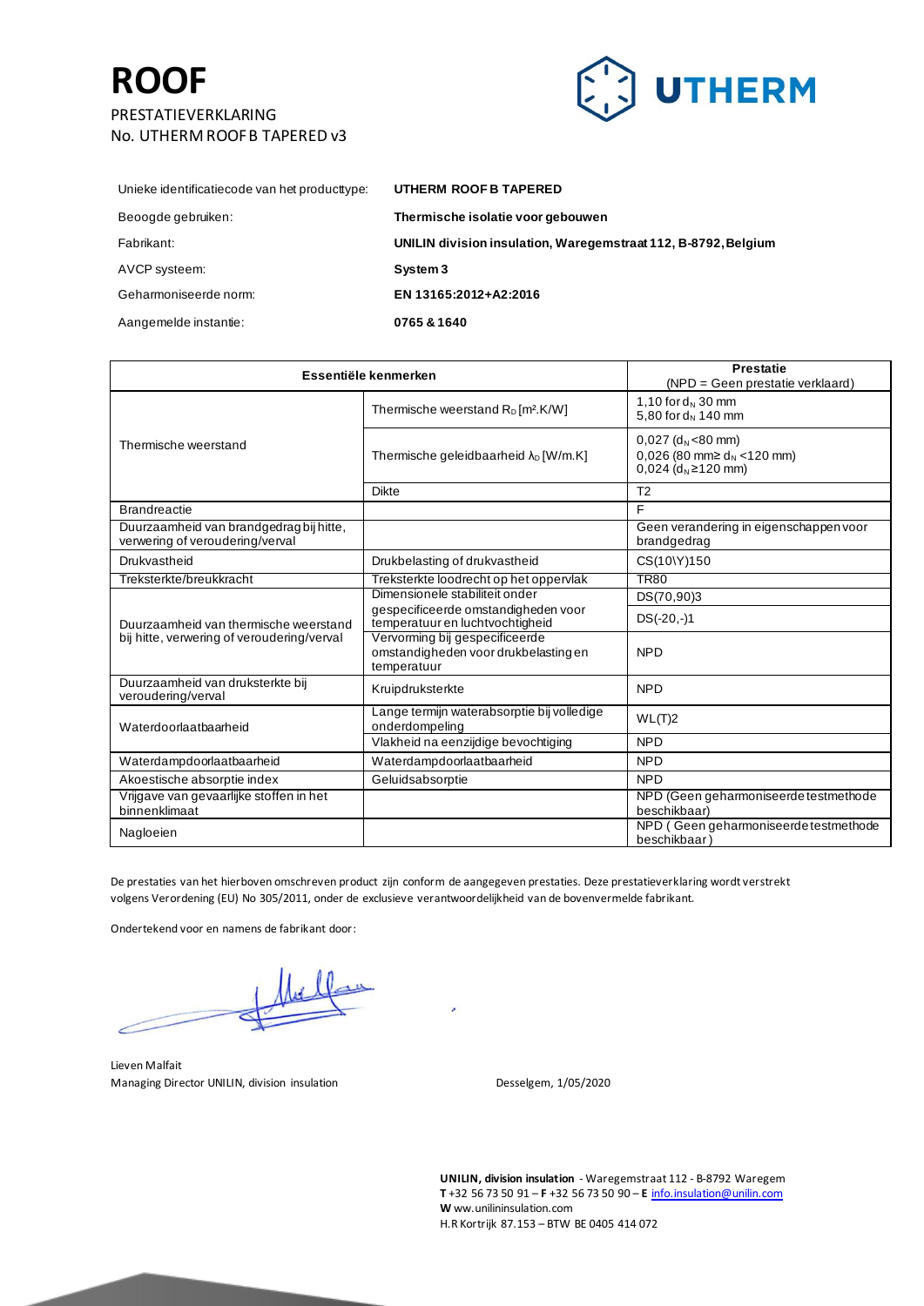

| Unieke identificatiecode van het producttype: | UTHERM ROOF B TAPERED                                          |
|-----------------------------------------------|----------------------------------------------------------------|
| Beoogde gebruiken:                            | Thermische isolatie voor gebouwen                              |
| Fabrikant:                                    | UNILIN division insulation, Waregemstraat 112, B-8792, Belgium |
| AVCP systeem:                                 | System 3                                                       |
| Geharmoniseerde norm:                         | EN 13165:2012+A2:2016                                          |
| Aangemelde instantie:                         | 0765 & 1640                                                    |
|                                               |                                                                |

| Essentiële kenmerken                                                       |                                                                                       | <b>Prestatie</b><br>(NPD = Geen prestatie verklaard)                                                                     |
|----------------------------------------------------------------------------|---------------------------------------------------------------------------------------|--------------------------------------------------------------------------------------------------------------------------|
| Thermische weerstand                                                       | Thermische weerstand $R_D$ [m <sup>2</sup> .K/W]                                      | 1,10 for $d_N$ 30 mm<br>5,80 for $d_N$ 140 mm                                                                            |
|                                                                            | Thermische geleidbaarheid $\lambda_{D}$ [W/m.K]                                       | $0,027$ (d <sub>N</sub> <80 mm)<br>0,026 (80 mm $\geq$ d <sub>N</sub> <120 mm)<br>$0,024$ (d <sub>N</sub> $\geq$ 120 mm) |
|                                                                            | <b>Dikte</b>                                                                          | T <sub>2</sub>                                                                                                           |
| <b>Brandreactie</b>                                                        |                                                                                       | E                                                                                                                        |
| Duurzaamheid van brandgedrag bij hitte,<br>verwering of veroudering/verval |                                                                                       | Geen verandering in eigenschappen voor<br>brandgedrag                                                                    |
| Drukvastheid                                                               | Drukbelasting of drukvastheid                                                         | CS(10\Y)150                                                                                                              |
| Treksterkte/breukkracht                                                    | Treksterkte loodrecht op het oppervlak                                                | <b>TR80</b>                                                                                                              |
|                                                                            | Dimensionele stabiliteit onder                                                        | DS(70,90)3                                                                                                               |
| Duurzaamheid van thermische weerstand                                      | gespecificeerde omstandigheden voor<br>temperatuur en luchtvochtigheid                | $DS(-20,-)1$                                                                                                             |
| bij hitte, verwering of veroudering/verval                                 | Vervorming bij gespecificeerde<br>omstandigheden voor drukbelasting en<br>temperatuur | <b>NPD</b>                                                                                                               |
| Duurzaamheid van druksterkte bij<br>veroudering/verval                     | Kruipdruksterkte                                                                      | <b>NPD</b>                                                                                                               |
| Waterdoorlaatbaarheid                                                      | Lange termijn waterabsorptie bij volledige<br>onderdompeling                          | WL(T)2                                                                                                                   |
|                                                                            | Vlakheid na eenzijdige bevochtiging                                                   | <b>NPD</b>                                                                                                               |
| Waterdampdoorlaatbaarheid                                                  | Waterdampdoorlaatbaarheid                                                             | <b>NPD</b>                                                                                                               |
| Akoestische absorptie index                                                | Geluidsabsorptie                                                                      | <b>NPD</b>                                                                                                               |
| Vrijgave van gevaarlijke stoffen in het<br>binnenklimaat                   |                                                                                       | NPD (Geen geharmoniseerde testmethode<br>beschikbaar)                                                                    |
| Nagloeien                                                                  |                                                                                       | NPD (Geen geharmoniseerde testmethode<br>beschikbaar)                                                                    |

De prestaties van het hierboven omschreven product zijn conform de aangegeven prestaties. Deze prestatieverklaring wordt verstrekt volgens Verordening (EU) No 305/2011, onder de exclusieve verantwoordelijkheid van de bovenvermelde fabrikant.

Ondertekend voor en namens de fabrikant door:

Lieven Malfait Managing Director UNILIN, division insulation description of the Sesselgem, 1/05/2020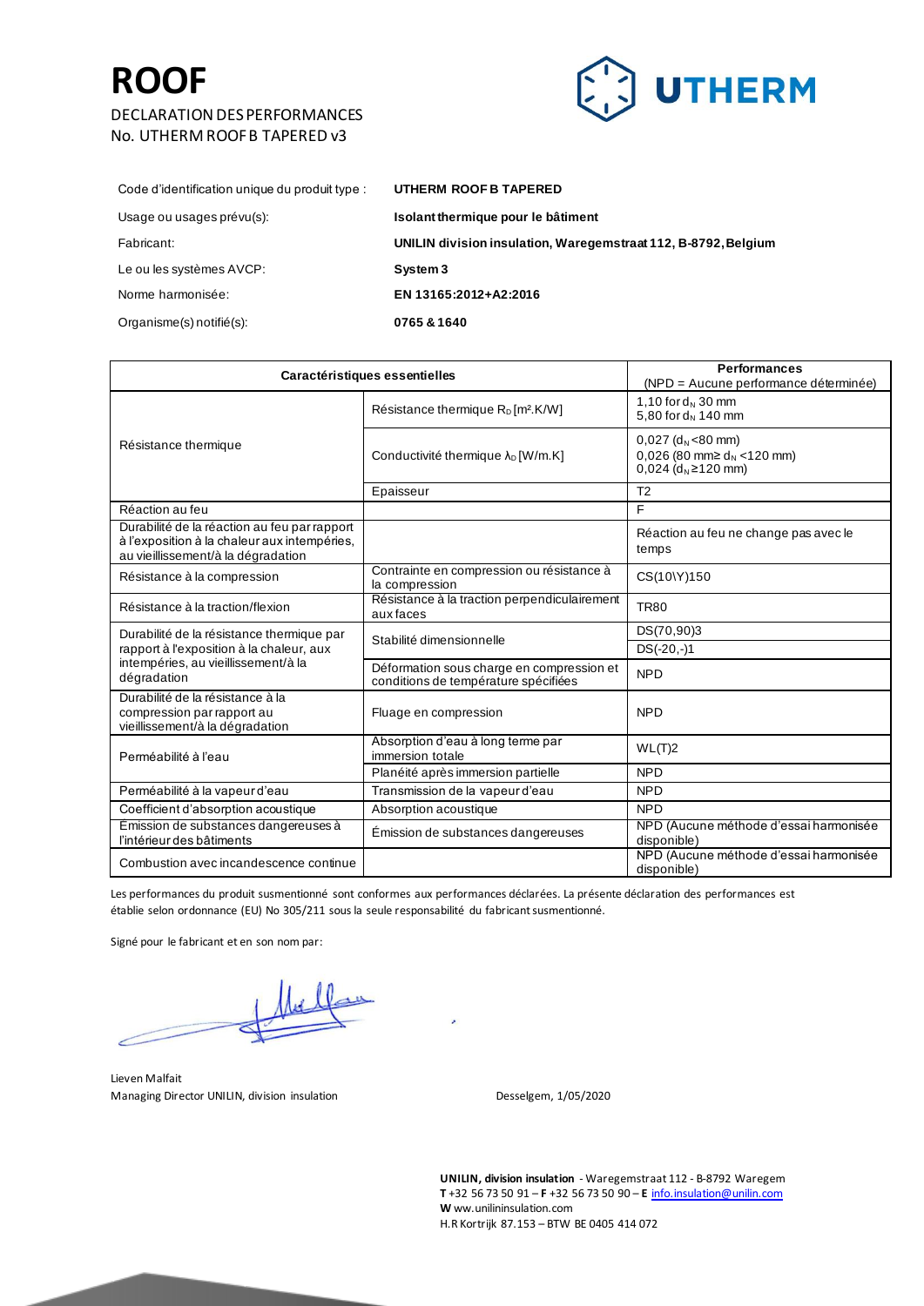#### DECLARATION DES PERFORMANCES No. UTHERM ROOF B TAPERED v3



| Code d'identification unique du produit type : | UTHERM ROOF B TAPERED                                          |
|------------------------------------------------|----------------------------------------------------------------|
| Usage ou usages prévu(s):                      | Isolant thermique pour le bâtiment                             |
| Fabricant:                                     | UNILIN division insulation, Waregemstraat 112, B-8792, Belgium |
| Le ou les systèmes AVCP:                       | System 3                                                       |
| Norme harmonisée:                              | EN 13165:2012+A2:2016                                          |
| Organisme(s) notifié(s):                       | 0765 & 1640                                                    |
|                                                |                                                                |

| Caractéristiques essentielles                                                                                                      |                                                                                   | <b>Performances</b><br>(NPD = Aucune performance déterminée)                                                             |
|------------------------------------------------------------------------------------------------------------------------------------|-----------------------------------------------------------------------------------|--------------------------------------------------------------------------------------------------------------------------|
|                                                                                                                                    | Résistance thermique $R_D$ [m <sup>2</sup> .K/W]                                  | 1,10 for $d_N$ 30 mm<br>5,80 for $d_N$ 140 mm                                                                            |
| Résistance thermique                                                                                                               | Conductivité thermique λ <sub>D</sub> [W/m.K]                                     | $0.027$ (d <sub>N</sub> <80 mm)<br>0,026 (80 mm $\geq$ d <sub>N</sub> <120 mm)<br>$0.024$ (d <sub>N</sub> $\geq$ 120 mm) |
|                                                                                                                                    | Epaisseur                                                                         | T <sub>2</sub>                                                                                                           |
| Réaction au feu                                                                                                                    |                                                                                   | F                                                                                                                        |
| Durabilité de la réaction au feu par rapport<br>à l'exposition à la chaleur aux intempéries,<br>au vieillissement/à la dégradation |                                                                                   | Réaction au feu ne change pas avec le<br>temps                                                                           |
| Résistance à la compression                                                                                                        | Contrainte en compression ou résistance à<br>la compression                       | CS(10\Y)150                                                                                                              |
| Résistance à la traction/flexion                                                                                                   | Résistance à la traction perpendiculairement<br>aux faces                         | <b>TR80</b>                                                                                                              |
| Durabilité de la résistance thermique par                                                                                          | Stabilité dimensionnelle                                                          | DS(70,90)3                                                                                                               |
| rapport à l'exposition à la chaleur, aux                                                                                           |                                                                                   | $DS(-20,-)1$                                                                                                             |
| intempéries, au vieillissement/à la<br>dégradation                                                                                 | Déformation sous charge en compression et<br>conditions de température spécifiées | <b>NPD</b>                                                                                                               |
| Durabilité de la résistance à la<br>compression par rapport au<br>vieillissement/à la dégradation                                  | Fluage en compression                                                             | <b>NPD</b>                                                                                                               |
| Perméabilité à l'eau                                                                                                               | Absorption d'eau à long terme par<br>immersion totale                             | WL(T)2                                                                                                                   |
|                                                                                                                                    | Planéité après immersion partielle                                                | <b>NPD</b>                                                                                                               |
| Perméabilité à la vapeur d'eau                                                                                                     | Transmission de la vapeur d'eau                                                   | <b>NPD</b>                                                                                                               |
| Coefficient d'absorption acoustique                                                                                                | Absorption acoustique                                                             | <b>NPD</b>                                                                                                               |
| Emission de substances dangereuses à<br>l'intérieur des bâtiments                                                                  | Emission de substances dangereuses                                                | NPD (Aucune méthode d'essai harmonisée<br>disponible)                                                                    |
| Combustion avec incandescence continue                                                                                             |                                                                                   | NPD (Aucune méthode d'essai harmonisée<br>disponible)                                                                    |

Les performances du produit susmentionné sont conformes aux performances déclarées. La présente déclaration des performances est établie selon ordonnance (EU) No 305/211 sous la seule responsabilité du fabricant susmentionné.

Signé pour le fabricant et en son nom par:

z

Lieven Malfait Managing Director UNILIN, division insulation description of the Desselgem, 1/05/2020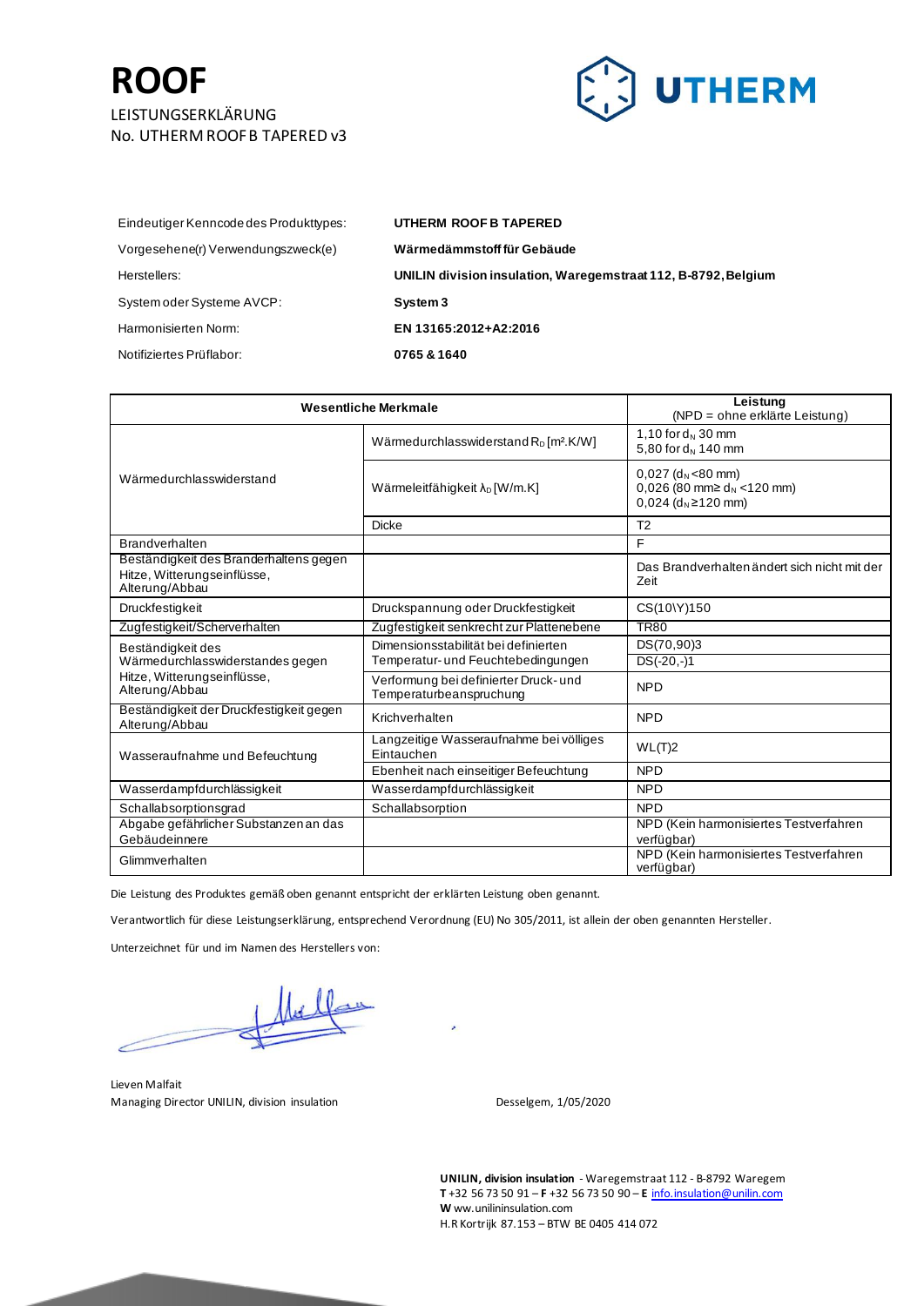

| Eindeutiger Kenncode des Produkttypes: | UTHERM ROOF B TAPERED                                          |
|----------------------------------------|----------------------------------------------------------------|
| Vorgesehene(r) Verwendungszweck(e)     | Wärmedämmstoff für Gebäude                                     |
| Herstellers:                           | UNILIN division insulation, Waregemstraat 112, B-8792, Belgium |
| System oder Systeme AVCP:              | System 3                                                       |
| Harmonisierten Norm:                   | EN 13165:2012+A2:2016                                          |
| Notifiziertes Prüflabor:               | 0765 & 1640                                                    |

| <b>Wesentliche Merkmale</b>                                                                            |                                                                            | Leistung<br>(NPD = ohne erklärte Leistung)                                                                               |
|--------------------------------------------------------------------------------------------------------|----------------------------------------------------------------------------|--------------------------------------------------------------------------------------------------------------------------|
| Wärmedurchlasswiderstand                                                                               | Wärmedurchlasswiderstand $R_D$ [m <sup>2</sup> .K/W]                       | 1,10 for $d_N$ 30 mm<br>5,80 for $d_N$ 140 mm                                                                            |
|                                                                                                        | Wärmeleitfähigkeit λ <sub>D</sub> [W/m.K]                                  | $0.027$ (d <sub>N</sub> <80 mm)<br>0,026 (80 mm $\geq$ d <sub>N</sub> <120 mm)<br>$0.024$ (d <sub>N</sub> $\geq$ 120 mm) |
|                                                                                                        | <b>Dicke</b>                                                               | T <sub>2</sub>                                                                                                           |
| <b>Brandverhalten</b>                                                                                  |                                                                            | F                                                                                                                        |
| Beständigkeit des Branderhaltens gegen<br>Hitze, Witterungseinflüsse,<br>Alterung/Abbau                |                                                                            | Das Brandverhalten ändert sich nicht mit der<br>Zeit                                                                     |
| Druckfestigkeit                                                                                        | Druckspannung oder Druckfestigkeit                                         | CS(10\Y)150                                                                                                              |
| Zugfestigkeit/Scherverhalten                                                                           | Zugfestigkeit senkrecht zur Plattenebene                                   | <b>TR80</b>                                                                                                              |
| Beständigkeit des<br>Wärmedurchlasswiderstandes gegen<br>Hitze, Witterungseinflüsse,<br>Alterung/Abbau | Dimensionsstabilität bei definierten<br>Temperatur- und Feuchtebedingungen | DS(70,90)3<br>$DS(-20,-)1$                                                                                               |
|                                                                                                        | Verformung bei definierter Druck- und<br>Temperaturbeanspruchung           | <b>NPD</b>                                                                                                               |
| Beständigkeit der Druckfestigkeit gegen<br>Alterung/Abbau                                              | Krichverhalten                                                             | <b>NPD</b>                                                                                                               |
| Wasseraufnahme und Befeuchtung                                                                         | Langzeitige Wasseraufnahme bei völliges<br>Eintauchen                      | WL(T)2                                                                                                                   |
|                                                                                                        | Ebenheit nach einseitiger Befeuchtung                                      | <b>NPD</b>                                                                                                               |
| Wasserdampfdurchlässigkeit                                                                             | Wasserdampfdurchlässigkeit                                                 | <b>NPD</b>                                                                                                               |
| Schallabsorptionsgrad                                                                                  | Schallabsorption                                                           | <b>NPD</b>                                                                                                               |
| Abgabe gefährlicher Substanzen an das<br>Gebäudeinnere                                                 |                                                                            | NPD (Kein harmonisiertes Testverfahren<br>verfügbar)                                                                     |
| Glimmverhalten                                                                                         |                                                                            | NPD (Kein harmonisiertes Testverfahren<br>verfügbar)                                                                     |

Die Leistung des Produktes gemäß oben genannt entspricht der erklärten Leistung oben genannt.

Verantwortlich für diese Leistungserklärung, entsprechend Verordnung (EU) No 305/2011, ist allein der oben genannten Hersteller.

Unterzeichnet für und im Namen des Herstellers von:

Lieven Malfait Managing Director UNILIN, division insulation description of the Sesselgem, 1/05/2020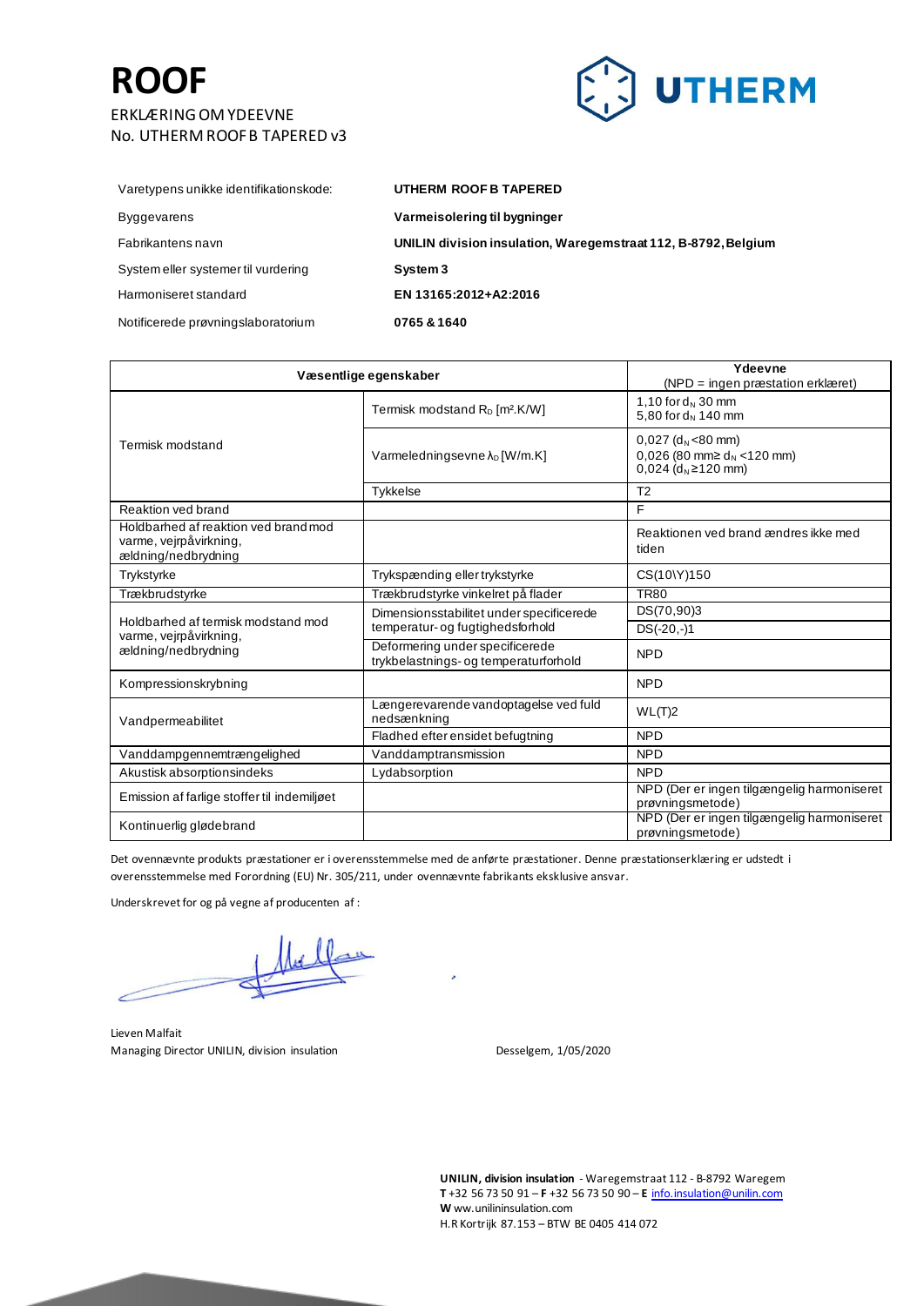

| Varetypens unikke identifikationskode: | UTHERM ROOF B TAPERED                                          |
|----------------------------------------|----------------------------------------------------------------|
| <b>Byggevarens</b>                     | Varmeisolering til bygninger                                   |
| Fabrikantens navn                      | UNILIN division insulation, Waregemstraat 112, B-8792, Belgium |
| System eller systemer til vurdering    | System 3                                                       |
| Harmoniseret standard                  | EN 13165:2012+A2:2016                                          |
| Notificerede prøvningslaboratorium     | 0765 & 1640                                                    |

| Væsentlige egenskaber                                                                 |                                                                              | Ydeevne<br>$(NPD = ingen præstation erklæret)$                                                                           |
|---------------------------------------------------------------------------------------|------------------------------------------------------------------------------|--------------------------------------------------------------------------------------------------------------------------|
| Termisk modstand                                                                      | Termisk modstand R <sub>D</sub> [m <sup>2</sup> .K/W]                        | 1,10 for $d_N$ 30 mm<br>5,80 for $d_N$ 140 mm                                                                            |
|                                                                                       | Varmeledningsevne $\lambda_D$ [W/m.K]                                        | $0,027$ (d <sub>N</sub> <80 mm)<br>0,026 (80 mm $\geq$ d <sub>N</sub> <120 mm)<br>$0.024$ (d <sub>N</sub> $\geq$ 120 mm) |
|                                                                                       | <b>Tykkelse</b>                                                              | T <sub>2</sub>                                                                                                           |
| Reaktion yed brand                                                                    |                                                                              | E                                                                                                                        |
| Holdbarhed af reaktion ved brand mod<br>varme, vejrpåvirkning,<br>ældning/nedbrydning |                                                                              | Reaktionen ved brand ændres ikke med<br>tiden                                                                            |
| Trykstyrke                                                                            | Trykspænding eller trykstyrke                                                | CS(10\Y)150                                                                                                              |
| Trækbrudstyrke                                                                        | Trækbrudstyrke vinkelret på flader                                           | <b>TR80</b>                                                                                                              |
| Holdbarhed af termisk modstand mod                                                    | Dimensionsstabilitet under specificerede<br>temperatur- og fugtighedsforhold | DS(70,90)3                                                                                                               |
| varme, vejrpåvirkning,                                                                |                                                                              | $DS(-20,-)1$                                                                                                             |
| ældning/nedbrydning                                                                   | Deformering under specificerede<br>trykbelastnings- og temperaturforhold     | <b>NPD</b>                                                                                                               |
| Kompressionskrybning                                                                  |                                                                              | <b>NPD</b>                                                                                                               |
| Vandpermeabilitet                                                                     | Længerevarende vandoptagelse ved fuld<br>nedsænkning                         | WL(T)2                                                                                                                   |
|                                                                                       | Fladhed efter ensidet befugtning                                             | <b>NPD</b>                                                                                                               |
| Vanddampgennemtrængelighed                                                            | Vanddamptransmission                                                         | <b>NPD</b>                                                                                                               |
| Akustisk absorptionsindeks                                                            | Lydabsorption                                                                | <b>NPD</b>                                                                                                               |
| Emission af farlige stoffer til indemiljøet                                           |                                                                              | NPD (Der er ingen tilgængelig harmoniseret<br>prøvningsmetode)                                                           |
| Kontinuerlig glødebrand                                                               |                                                                              | NPD (Der er ingen tilgængelig harmoniseret<br>prøvningsmetode)                                                           |

Det ovennævnte produkts præstationer er i overensstemmelse med de anførte præstationer. Denne præstationserklæring er udstedt i overensstemmelse med Forordning (EU) Nr. 305/211, under ovennævnte fabrikants eksklusive ansvar.

×

Underskrevet for og på vegne af producenten af :

Lieven Malfait Managing Director UNILIN, division insulation description of the Sesselgem, 1/05/2020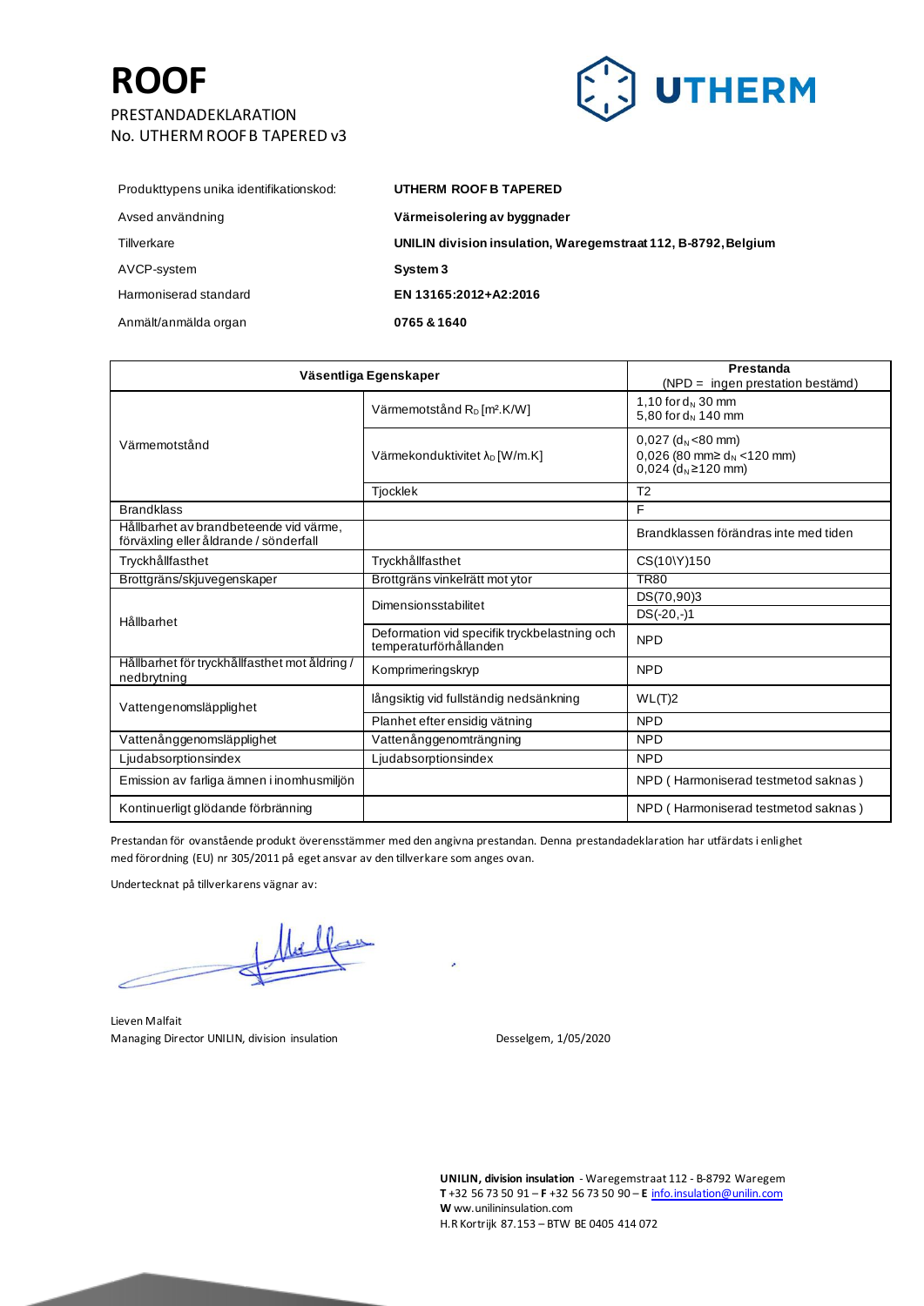No. UTHERM ROOF B TAPERED v3



| Produkttypens unika identifikationskod: | UTHERM ROOF B TAPERED                                          |
|-----------------------------------------|----------------------------------------------------------------|
| Avsed användning                        | Värmeisolering av byggnader                                    |
| Tillverkare                             | UNILIN division insulation, Waregemstraat 112, B-8792, Belgium |
| AVCP-system                             | System 3                                                       |
| Harmoniserad standard                   | EN 13165:2012+A2:2016                                          |
| Anmält/anmälda organ                    | 0765 & 1640                                                    |

| Väsentliga Egenskaper                                                            |                                                                        | Prestanda<br>$(NPD = ingen presentation bestämd)$                                                                        |
|----------------------------------------------------------------------------------|------------------------------------------------------------------------|--------------------------------------------------------------------------------------------------------------------------|
| Värmemotstånd                                                                    | Värmemotstånd $R_D$ [m <sup>2</sup> .K/W]                              | 1,10 for $d_N$ 30 mm<br>5,80 for $d_N$ 140 mm                                                                            |
|                                                                                  | Värmekonduktivitet $\lambda_D$ [W/m.K]                                 | $0,027$ (d <sub>N</sub> <80 mm)<br>0,026 (80 mm $\geq$ d <sub>N</sub> <120 mm)<br>$0,024$ (d <sub>N</sub> $\geq$ 120 mm) |
|                                                                                  | Tjocklek                                                               | T <sub>2</sub>                                                                                                           |
| <b>Brandklass</b>                                                                |                                                                        | F                                                                                                                        |
| Hållbarhet av brandbeteende vid värme,<br>förväxling eller åldrande / sönderfall |                                                                        | Brandklassen förändras inte med tiden                                                                                    |
| Tryckhållfasthet                                                                 | Tryckhållfasthet                                                       | CS(10\Y)150                                                                                                              |
| Brottgräns/skjuvegenskaper                                                       | Brottgräns vinkelrätt mot ytor                                         | <b>TR80</b>                                                                                                              |
|                                                                                  | Dimensionsstabilitet                                                   | DS(70,90)3                                                                                                               |
| Hållbarhet                                                                       |                                                                        | $DS(-20,-)1$                                                                                                             |
|                                                                                  | Deformation vid specifik tryckbelastning och<br>temperaturförhållanden | <b>NPD</b>                                                                                                               |
| Hållbarhet för tryckhållfasthet mot åldring /<br>nedbrytning                     | Komprimeringskryp                                                      | <b>NPD</b>                                                                                                               |
| Vattengenomsläpplighet                                                           | långsiktig vid fullständig nedsänkning                                 | WL(T)2                                                                                                                   |
|                                                                                  | Planhet efter ensidig vätning                                          | <b>NPD</b>                                                                                                               |
| Vattenånggenomsläpplighet                                                        | Vattenånggenomträngning                                                | <b>NPD</b>                                                                                                               |
| Ljudabsorptionsindex                                                             | Liudabsorptionsindex                                                   | <b>NPD</b>                                                                                                               |
| Emission av farliga ämnen i inomhusmiljön                                        |                                                                        | NPD (Harmoniserad testmetod saknas)                                                                                      |
| Kontinuerligt glödande förbränning                                               |                                                                        | NPD (Harmoniserad testmetod saknas)                                                                                      |

Prestandan för ovanstående produkt överensstämmer med den angivna prestandan. Denna prestandadeklaration har utfärdats i enlighet med förordning (EU) nr 305/2011 på eget ansvar av den tillverkare som anges ovan.

Undertecknat på tillverkarens vägnar av:

Lieven Malfait Managing Director UNILIN, division insulation description of the Sesselgem, 1/05/2020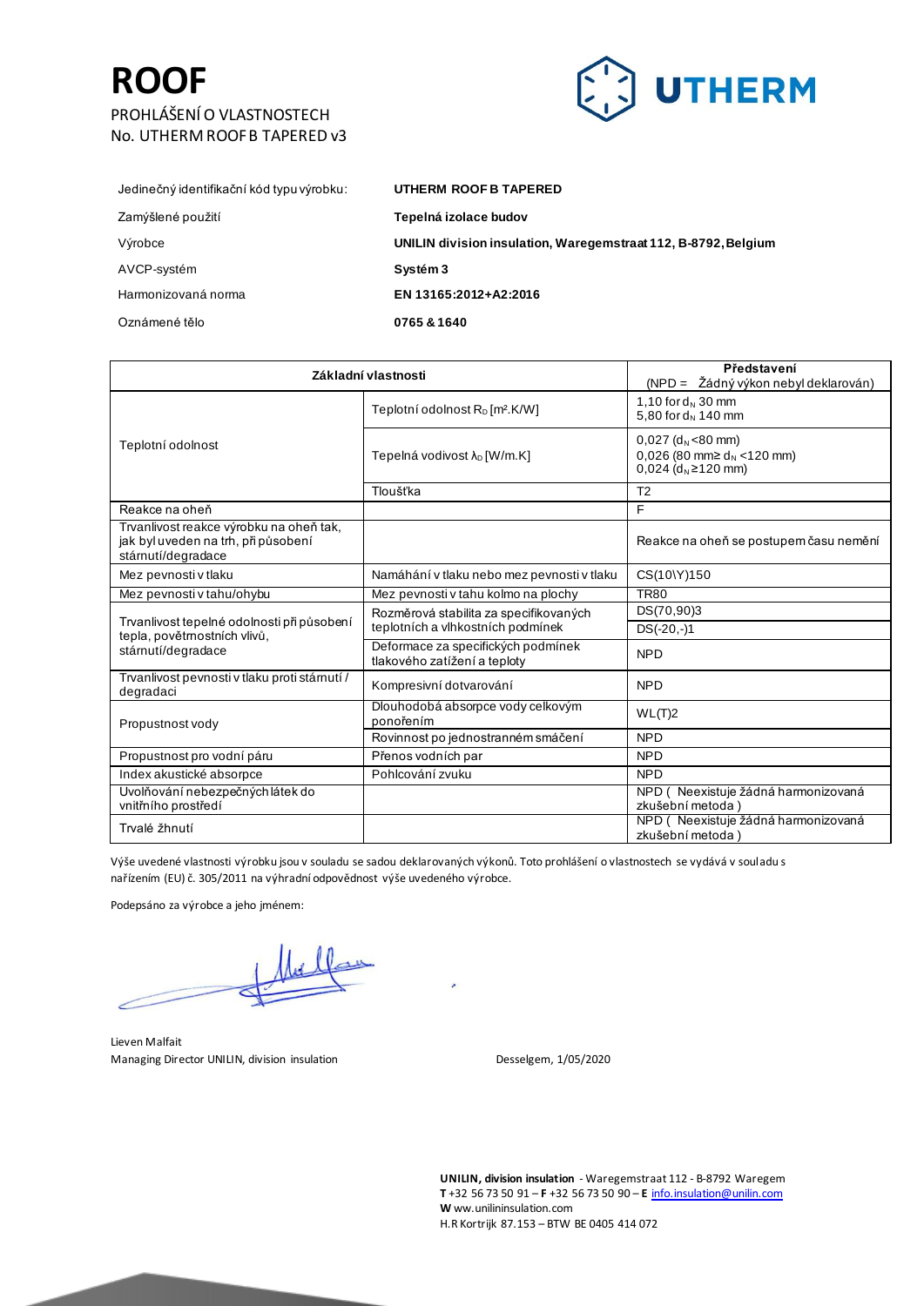### **ROOF** PROHLÁŠENÍ O VLASTNOSTECH No. UTHERM ROOF B TAPERED v3



| UTHERM ROOF B TAPERED                                          |
|----------------------------------------------------------------|
| Tepelná izolace budov                                          |
| UNILIN division insulation, Waregemstraat 112, B-8792, Belgium |
| Systém 3                                                       |
| EN 13165:2012+A2:2016                                          |
| 0765 & 1640                                                    |
|                                                                |

| Základní vlastnosti                                                                                 |                                                                    | Představení<br>(NPD = Žádný výkon nebyl deklarován)                                                                      |
|-----------------------------------------------------------------------------------------------------|--------------------------------------------------------------------|--------------------------------------------------------------------------------------------------------------------------|
| Teplotní odolnost                                                                                   | Teplotní odolnost $R_D$ [m <sup>2</sup> .K/W]                      | 1,10 for $d_N$ 30 mm<br>5,80 for d <sub>N</sub> 140 mm                                                                   |
|                                                                                                     | Tepelná vodivost λ <sub>D</sub> [W/m.K]                            | $0.027$ (d <sub>N</sub> <80 mm)<br>0,026 (80 mm $\geq$ d <sub>N</sub> <120 mm)<br>$0.024$ (d <sub>N</sub> $\geq$ 120 mm) |
|                                                                                                     | Tloušťka                                                           | T <sub>2</sub>                                                                                                           |
| Reakce na oheň                                                                                      |                                                                    | F                                                                                                                        |
| Trvanlivost reakce výrobku na oheň tak,<br>jak byl uveden na trh, při působení<br>stámutí/degradace |                                                                    | Reakce na oheň se postupem času nemění                                                                                   |
| Mez pevnosti v tlaku                                                                                | Namáhání v tlaku nebo mez pevnosti v tlaku                         | CS(10\Y)150                                                                                                              |
| Mez pevnosti v tahu/ohybu                                                                           | Mez pevnosti v tahu kolmo na plochy                                | <b>TR80</b>                                                                                                              |
|                                                                                                     | Rozměrová stabilita za specifikovaných                             | DS(70,90)3                                                                                                               |
| Trvanlivost tepelné odolnosti při působení<br>tepla, povětrnostních vlivů,                          | teplotních a vlhkostních podmínek                                  | $DS(-20,-)1$                                                                                                             |
| stámutí/degradace                                                                                   | Deformace za specifických podmínek<br>tlakového zatížení a teploty | <b>NPD</b>                                                                                                               |
| Trvanlivost pevnosti v tlaku proti stárnutí /<br>degradaci                                          | Kompresivní dotvarování                                            | <b>NPD</b>                                                                                                               |
| Propustnost vody                                                                                    | Dlouhodobá absorpce vody celkovým<br>ponořením                     | WL(T)2                                                                                                                   |
|                                                                                                     | Rovinnost po jednostranném smáčení                                 | <b>NPD</b>                                                                                                               |
| Propustnost pro vodní páru                                                                          | Přenos vodních par                                                 | <b>NPD</b>                                                                                                               |
| Index akustické absorpce                                                                            | Pohlcování zvuku                                                   | <b>NPD</b>                                                                                                               |
| Uvolňování nebezpečných látek do<br>vnitřního prostředí                                             |                                                                    | NPD (Neexistuje žádná harmonizovaná<br>zkušební metoda)                                                                  |
| Trvalé žhnutí                                                                                       |                                                                    | NPD (Neexistuje žádná harmonizovaná<br>zkušební metoda)                                                                  |

Výše uvedené vlastnosti výrobku jsou v souladu se sadou deklarovaných výkonů. Toto prohlášení o vlastnostech se vydává v souladu s nařízením (EU) č. 305/2011 na výhradní odpovědnost výše uvedeného výrobce.

Podepsáno za výrobce a jeho jménem:

Lieven Malfait Managing Director UNILIN, division insulation description of the Sesselgem, 1/05/2020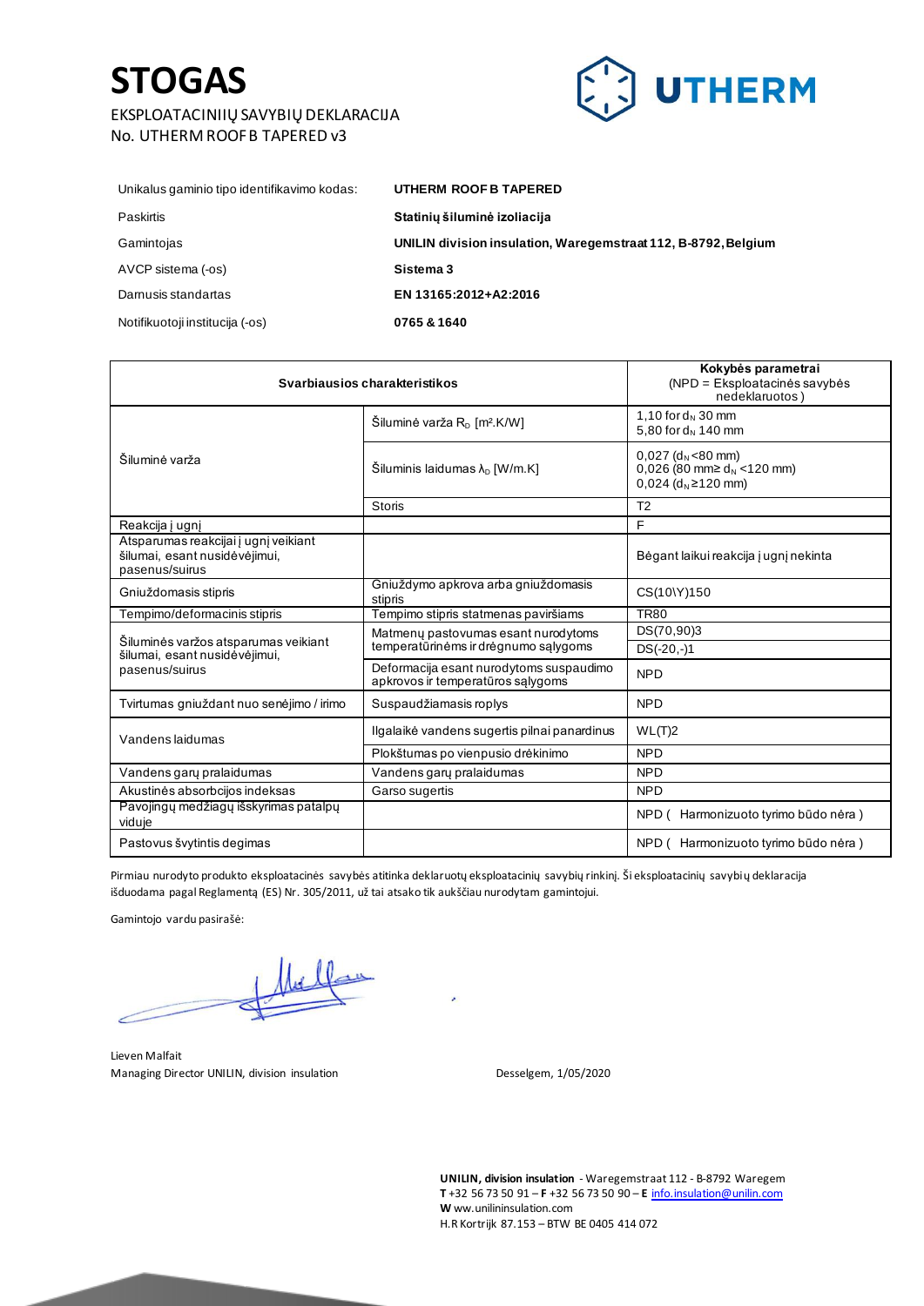### **STOGAS**

#### EKSPLOATACINIIŲ SAVYBIŲ DEKLARACIJA No. UTHERM ROOF B TAPERED v3



| Unikalus gaminio tipo identifikavimo kodas: | UTHERM ROOF B TAPERED                                          |
|---------------------------------------------|----------------------------------------------------------------|
| Paskirtis                                   | Statinių šiluminė izoliacija                                   |
| Gamintojas                                  | UNILIN division insulation, Waregemstraat 112, B-8792, Belgium |
| AVCP sistema (-os)                          | Sistema 3                                                      |
| Damusis standartas                          | EN 13165:2012+A2:2016                                          |
| Notifikuotoji institucija (-os)             | 0765 & 1640                                                    |

| Svarbiausios charakteristikos                                                           |                                                                              | Kokybės parametrai<br>$(NPD = Eksploatacinės savybės)$<br>nedeklaruotos)                                 |
|-----------------------------------------------------------------------------------------|------------------------------------------------------------------------------|----------------------------------------------------------------------------------------------------------|
| Šiluminė varža                                                                          | Šiluminė varža R <sub>D</sub> [m <sup>2</sup> .K/W]                          | 1,10 for $d_N$ 30 mm<br>5,80 for d <sub>N</sub> 140 mm                                                   |
|                                                                                         | Šiluminis laidumas $\lambda_{\rm D}$ [W/m.K]                                 | $0.027$ (d <sub>N</sub> <80 mm)<br>0,026 (80 mm $\geq$ d <sub>N</sub> <120 mm)<br>0,024 ( $d_N$ ≥120 mm) |
|                                                                                         | <b>Storis</b>                                                                | T <sub>2</sub>                                                                                           |
| Reakcija į ugnį                                                                         |                                                                              | F                                                                                                        |
| Atsparumas reakcijai į ugnį veikiant<br>šilumai, esant nusidėvėjimui,<br>pasenus/suirus |                                                                              | Bėgant laikui reakcija į ugnį nekinta                                                                    |
| Gniuždomasis stipris                                                                    | Gniuždymo apkrova arba gniuždomasis<br>stipris                               | CS(10\Y)150                                                                                              |
| Tempimo/deformacinis stipris                                                            | Tempimo stipris statmenas paviršiams                                         | <b>TR80</b>                                                                                              |
| Šiluminės varžos atsparumas veikiant                                                    | Matmeny pastovumas esant nurodytoms                                          | DS(70,90)3                                                                                               |
| šilumai, esant nusidėvėjimui,                                                           | temperatūrinėms ir drėgnumo sąlygoms                                         | $DS(-20,-)1$                                                                                             |
| pasenus/suirus                                                                          | Deformacija esant nurodytoms suspaudimo<br>apkrovos ir temperatūros salygoms | <b>NPD</b>                                                                                               |
| Tvirtumas gniuždant nuo senėjimo / irimo                                                | Suspaudžiamasis roplys                                                       | <b>NPD</b>                                                                                               |
| Vandens laidumas                                                                        | Ilgalaikė vandens sugertis pilnai panardinus                                 | WL(T)2                                                                                                   |
|                                                                                         | Plokštumas po vienpusio drėkinimo                                            | <b>NPD</b>                                                                                               |
| Vandens gary pralaidumas                                                                | Vandens gary pralaidumas                                                     | <b>NPD</b>                                                                                               |
| Akustinės absorbcijos indeksas                                                          | Garso sugertis                                                               | <b>NPD</b>                                                                                               |
| Pavojingų medžiagų išskyrimas patalpų<br>viduje                                         |                                                                              | NPD (<br>Harmonizuoto tyrimo būdo nėra)                                                                  |
| Pastovus švytintis degimas                                                              |                                                                              | NPD (Harmonizuoto tyrimo būdo nėra)                                                                      |

Pirmiau nurodyto produkto eksploatacinės savybės atitinka deklaruotų eksploatacinių savybių rinkinį. Ši eksploatacinių savybių deklaracija išduodama pagal Reglamentą (ES) Nr. 305/2011, už tai atsako tik aukščiau nurodytam gamintojui.

Gamintojo vardu pasirašė:

Lieven Malfait Managing Director UNILIN, division insulation description of the Sesselgem, 1/05/2020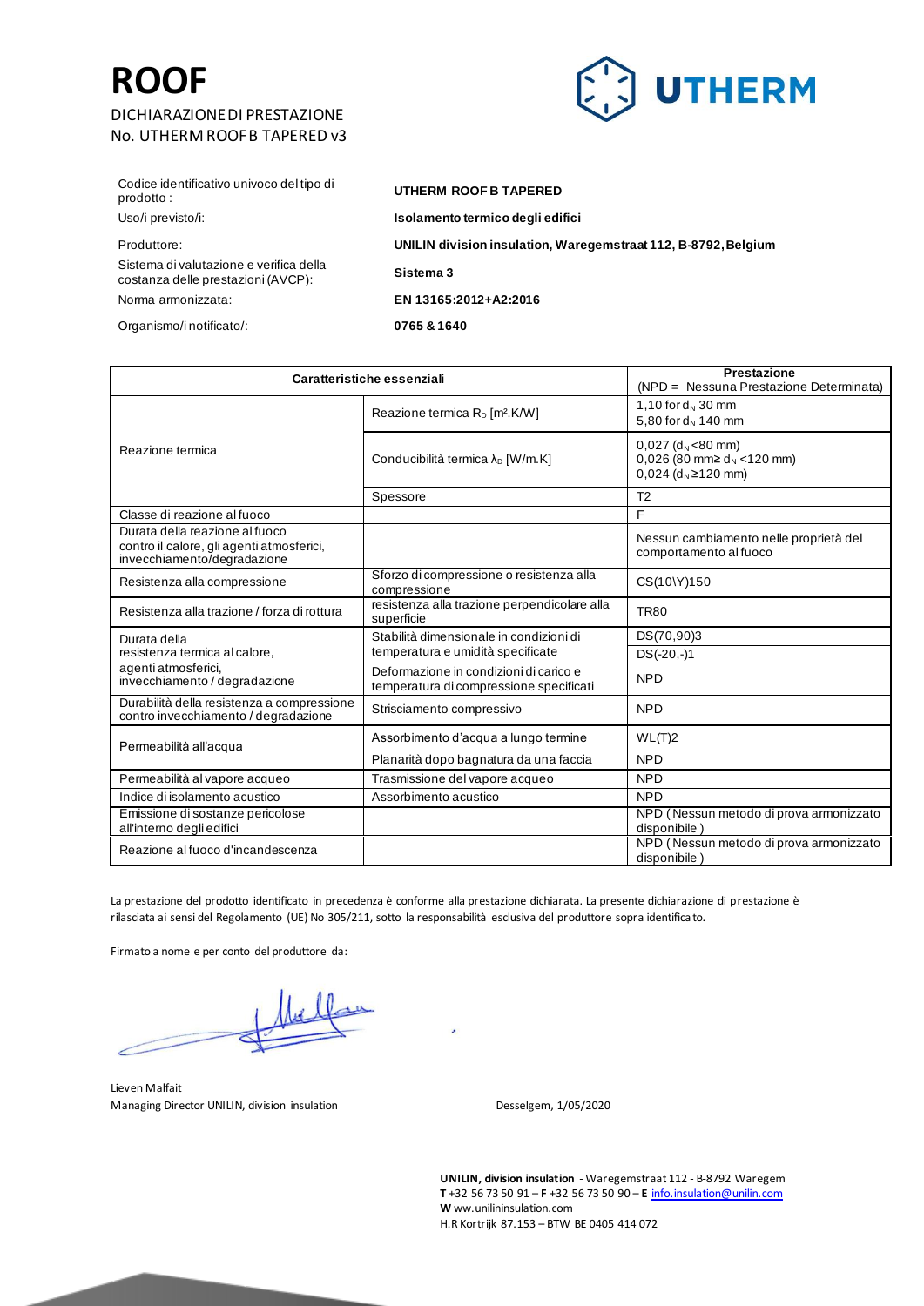#### DICHIARAZIONE DI PRESTAZIONE No. UTHERM ROOF B TAPERED v3



Codice identificativo univoco del tipo di prodotto :

Sistema di valutazione e verifica della costanza delle prestazioni (AVCP): Norma armonizzata: **EN 13165:2012+A2:2016**

Organismo/i notificato/: **0765 & 1640**

### **UTHERM ROOF B TAPERED**

Uso/i previsto/i: **Isolamento termico degli edifici**

Produttore: **UNILIN division insulation, Waregemstraat 112, B-8792, Belgium**

**Sistema 3**

| Caratteristiche essenziali                                                                                 |                                                                                   | <b>Prestazione</b><br>(NPD = Nessuna Prestazione Determinata)                                                            |
|------------------------------------------------------------------------------------------------------------|-----------------------------------------------------------------------------------|--------------------------------------------------------------------------------------------------------------------------|
| Reazione termica                                                                                           | Reazione termica $R_D$ [m <sup>2</sup> .K/W]                                      | 1,10 for $d_N$ 30 mm<br>5,80 for $d_N$ 140 mm                                                                            |
|                                                                                                            | Conducibilità termica λ <sub>D</sub> [W/m.K]                                      | $0,027$ (d <sub>N</sub> <80 mm)<br>0,026 (80 mm $\geq$ d <sub>N</sub> <120 mm)<br>$0.024$ (d <sub>N</sub> $\geq$ 120 mm) |
|                                                                                                            | Spessore                                                                          | T <sub>2</sub>                                                                                                           |
| Classe di reazione al fuoco                                                                                |                                                                                   | F                                                                                                                        |
| Durata della reazione al fuoco<br>contro il calore, gli agenti atmosferici,<br>invecchiamento/degradazione |                                                                                   | Nessun cambiamento nelle proprietà del<br>comportamento al fuoco                                                         |
| Resistenza alla compressione                                                                               | Sforzo di compressione o resistenza alla<br>compressione                          | CS(10\Y)150                                                                                                              |
| Resistenza alla trazione / forza di rottura                                                                | resistenza alla trazione perpendicolare alla<br>superficie                        | <b>TR80</b>                                                                                                              |
| Durata della                                                                                               | Stabilità dimensionale in condizioni di                                           | DS(70,90)3                                                                                                               |
| resistenza termica al calore,                                                                              | temperatura e umidità specificate                                                 | $DS(-20,-)1$                                                                                                             |
| agenti atmosferici,<br>invecchiamento / degradazione                                                       | Deformazione in condizioni di carico e<br>temperatura di compressione specificati | <b>NPD</b>                                                                                                               |
| Durabilità della resistenza a compressione<br>contro invecchiamento / degradazione                         | Strisciamento compressivo                                                         | <b>NPD</b>                                                                                                               |
| Permeabilità all'acqua                                                                                     | Assorbimento d'acqua a lungo termine                                              | WL(T)2                                                                                                                   |
|                                                                                                            | Planarità dopo bagnatura da una faccia                                            | <b>NPD</b>                                                                                                               |
| Permeabilità al vapore acqueo                                                                              | Trasmissione del vapore acqueo                                                    | <b>NPD</b>                                                                                                               |
| Indice di isolamento acustico                                                                              | Assorbimento acustico                                                             | <b>NPD</b>                                                                                                               |
| Emissione di sostanze pericolose<br>all'interno degli edifici                                              |                                                                                   | NPD (Nessun metodo di prova armonizzato<br>disponibile)                                                                  |
| Reazione al fuoco d'incandescenza                                                                          |                                                                                   | NPD (Nessun metodo di prova armonizzato<br>disponibile)                                                                  |

La prestazione del prodotto identificato in precedenza è conforme alla prestazione dichiarata. La presente dichiarazione di prestazione è rilasciata ai sensi del Regolamento (UE) No 305/211, sotto la responsabilità esclusiva del produttore sopra identifica to.

Firmato a nome e per conto del produttore da:

Lieven Malfait Managing Director UNILIN, division insulation Desselgem, 1/05/2020